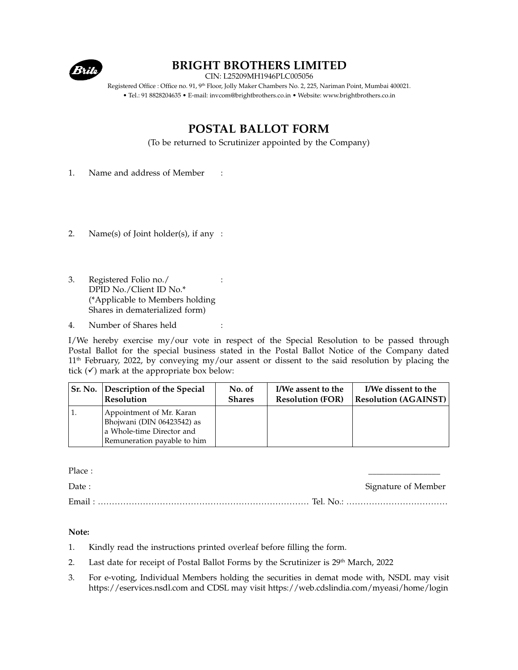

## **BRIGHT BROTHERS LIMITED**

CIN: L25209MH1946PLC005056

Registered Office : Office no. 91, 9<sup>th</sup> Floor, Jolly Maker Chambers No. 2, 225, Nariman Point, Mumbai 400021. • Tel.: 91 8828204635 • E-mail: invcom@brightbrothers.co.in • Website: www.brightbrothers.co.in

## **POSTAL BALLOT FORM**

(To be returned to Scrutinizer appointed by the Company)

- 1. Name and address of Member :
- 2. Name(s) of Joint holder(s), if any :
- 3. Registered Folio no./ : DPID No./Client ID No.\* (\*Applicable to Members holding Shares in dematerialized form)

4. Number of Shares held :

I/We hereby exercise my/our vote in respect of the Special Resolution to be passed through Postal Ballot for the special business stated in the Postal Ballot Notice of the Company dated  $11<sup>th</sup>$  February, 2022, by conveying my/our assent or dissent to the said resolution by placing the tick  $(\checkmark)$  mark at the appropriate box below:

| Sr. No. | Description of the Special                                                                                         | No. of        | I/We assent to the      | I/We dissent to the         |
|---------|--------------------------------------------------------------------------------------------------------------------|---------------|-------------------------|-----------------------------|
|         | <b>Resolution</b>                                                                                                  | <b>Shares</b> | <b>Resolution (FOR)</b> | <b>Resolution (AGAINST)</b> |
|         | Appointment of Mr. Karan<br>Bhojwani (DIN 06423542) as<br>a Whole-time Director and<br>Remuneration payable to him |               |                         |                             |

Place : \_\_\_\_\_\_\_\_\_\_\_\_\_\_\_\_\_

Date : Signature of Member Email : ………………………………………………………………… Tel. No.: ………………………………

## **Note:**

- 1. Kindly read the instructions printed overleaf before filling the form.
- 2. Last date for receipt of Postal Ballot Forms by the Scrutinizer is 29<sup>th</sup> March, 2022
- 3. For e-voting, Individual Members holding the securities in demat mode with, NSDL may visit https://eservices.nsdl.com and CDSL may visit https://web.cdslindia.com/myeasi/home/login